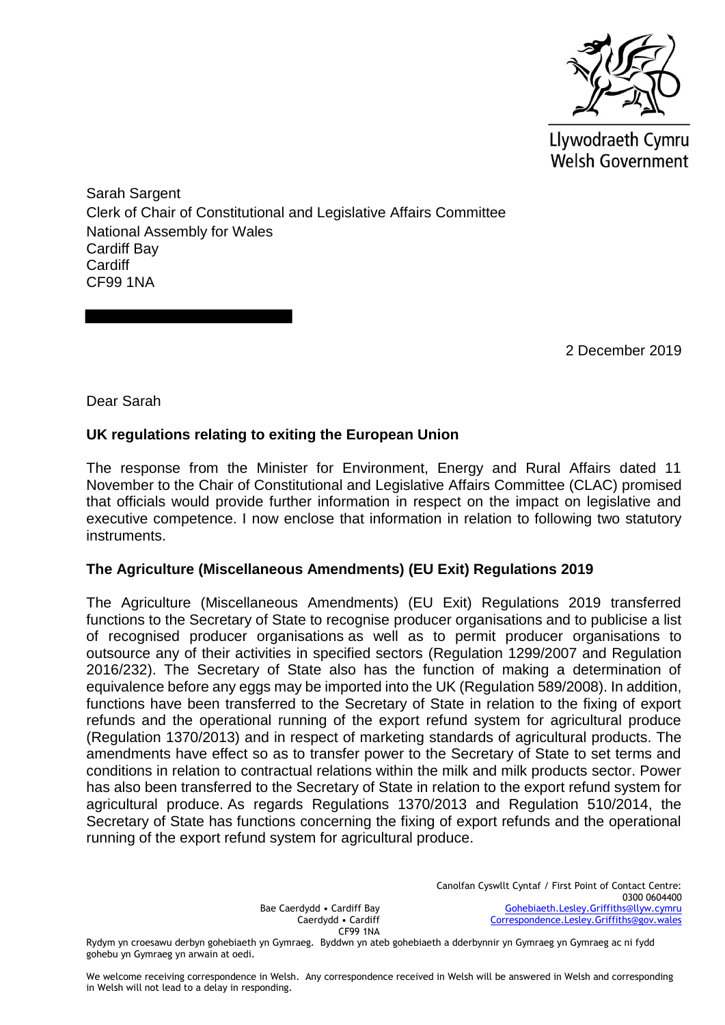

Llywodraeth Cymru **Welsh Government** 

Sarah Sargent Clerk of Chair of Constitutional and Legislative Affairs Committee National Assembly for Wales Cardiff Bay **Cardiff** CF99 1NA

2 December 2019

Dear Sarah

## **UK regulations relating to exiting the European Union**

The response from the Minister for Environment, Energy and Rural Affairs dated 11 November to the Chair of Constitutional and Legislative Affairs Committee (CLAC) promised that officials would provide further information in respect on the impact on legislative and executive competence. I now enclose that information in relation to following two statutory instruments.

## **The Agriculture (Miscellaneous Amendments) (EU Exit) Regulations 2019**

The Agriculture (Miscellaneous Amendments) (EU Exit) Regulations 2019 transferred functions to the Secretary of State to recognise producer organisations and to publicise a list of recognised producer organisations as well as to permit producer organisations to outsource any of their activities in specified sectors (Regulation 1299/2007 and Regulation 2016/232). The Secretary of State also has the function of making a determination of equivalence before any eggs may be imported into the UK (Regulation 589/2008). In addition, functions have been transferred to the Secretary of State in relation to the fixing of export refunds and the operational running of the export refund system for agricultural produce (Regulation 1370/2013) and in respect of marketing standards of agricultural products. The amendments have effect so as to transfer power to the Secretary of State to set terms and conditions in relation to contractual relations within the milk and milk products sector. Power has also been transferred to the Secretary of State in relation to the export refund system for agricultural produce. As regards Regulations 1370/2013 and Regulation 510/2014, the Secretary of State has functions concerning the fixing of export refunds and the operational running of the export refund system for agricultural produce.

> Bae Caerdydd • Cardiff Bay Caerdydd • Cardiff CF99 1NA

Canolfan Cyswllt Cyntaf / First Point of Contact Centre: 0300 0604400 [Gohebiaeth.Lesley.Griffiths@llyw.cymru](mailto:Gohebiaeth.Lesley.Griffiths@llyw.cymru) [Correspondence.Lesley.Griffiths@gov.wales](mailto:Correspondence.Lesley.Griffiths@gov.wales)

Rydym yn croesawu derbyn gohebiaeth yn Gymraeg. Byddwn yn ateb gohebiaeth a dderbynnir yn Gymraeg yn Gymraeg ac ni fydd gohebu yn Gymraeg yn arwain at oedi.

We welcome receiving correspondence in Welsh. Any correspondence received in Welsh will be answered in Welsh and corresponding in Welsh will not lead to a delay in responding.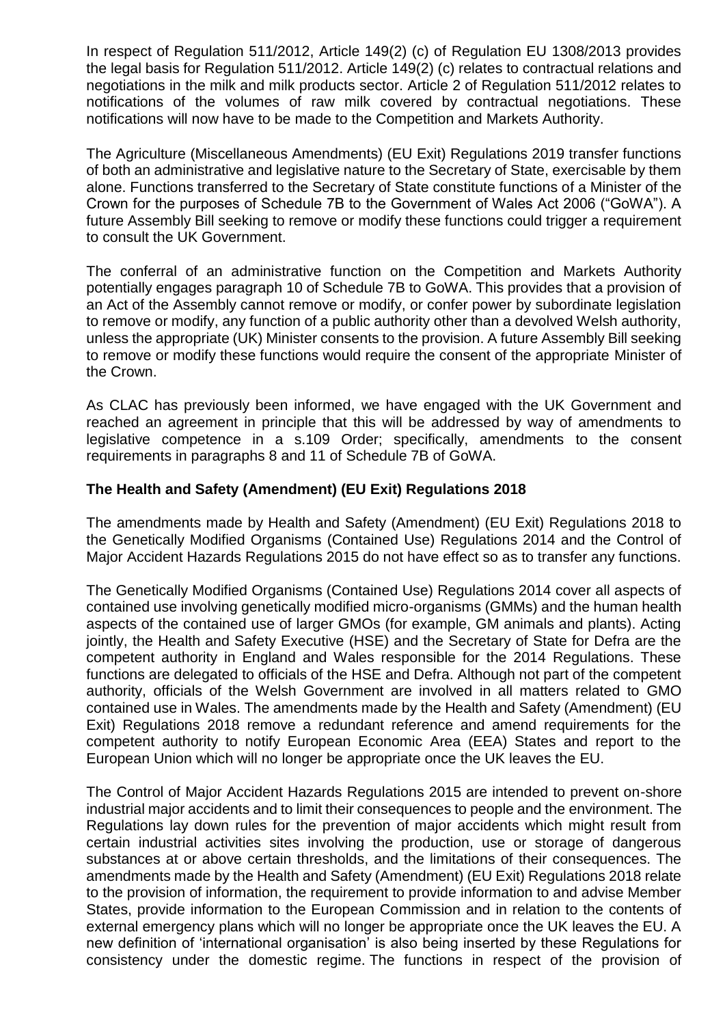In respect of Regulation 511/2012, Article 149(2) (c) of Regulation EU 1308/2013 provides the legal basis for Regulation 511/2012. Article 149(2) (c) relates to contractual relations and negotiations in the milk and milk products sector. Article 2 of Regulation 511/2012 relates to notifications of the volumes of raw milk covered by contractual negotiations. These notifications will now have to be made to the Competition and Markets Authority.

The Agriculture (Miscellaneous Amendments) (EU Exit) Regulations 2019 transfer functions of both an administrative and legislative nature to the Secretary of State, exercisable by them alone. Functions transferred to the Secretary of State constitute functions of a Minister of the Crown for the purposes of Schedule 7B to the Government of Wales Act 2006 ("GoWA"). A future Assembly Bill seeking to remove or modify these functions could trigger a requirement to consult the UK Government.

The conferral of an administrative function on the Competition and Markets Authority potentially engages paragraph 10 of Schedule 7B to GoWA. This provides that a provision of an Act of the Assembly cannot remove or modify, or confer power by subordinate legislation to remove or modify, any function of a public authority other than a devolved Welsh authority, unless the appropriate (UK) Minister consents to the provision. A future Assembly Bill seeking to remove or modify these functions would require the consent of the appropriate Minister of the Crown.

As CLAC has previously been informed, we have engaged with the UK Government and reached an agreement in principle that this will be addressed by way of amendments to legislative competence in a s.109 Order; specifically, amendments to the consent requirements in paragraphs 8 and 11 of Schedule 7B of GoWA.

## **The Health and Safety (Amendment) (EU Exit) Regulations 2018**

The amendments made by Health and Safety (Amendment) (EU Exit) Regulations 2018 to the Genetically Modified Organisms (Contained Use) Regulations 2014 and the Control of Major Accident Hazards Regulations 2015 do not have effect so as to transfer any functions.

The Genetically Modified Organisms (Contained Use) Regulations 2014 cover all aspects of contained use involving genetically modified micro-organisms (GMMs) and the human health aspects of the contained use of larger GMOs (for example, GM animals and plants). Acting jointly, the Health and Safety Executive (HSE) and the Secretary of State for Defra are the competent authority in England and Wales responsible for the 2014 Regulations. These functions are delegated to officials of the HSE and Defra. Although not part of the competent authority, officials of the Welsh Government are involved in all matters related to GMO contained use in Wales. The amendments made by the Health and Safety (Amendment) (EU Exit) Regulations 2018 remove a redundant reference and amend requirements for the competent authority to notify European Economic Area (EEA) States and report to the European Union which will no longer be appropriate once the UK leaves the EU.

The Control of Major Accident Hazards Regulations 2015 are intended to prevent on-shore industrial major accidents and to limit their consequences to people and the environment. The Regulations lay down rules for the prevention of major accidents which might result from certain industrial activities sites involving the production, use or storage of dangerous substances at or above certain thresholds, and the limitations of their consequences. The amendments made by the Health and Safety (Amendment) (EU Exit) Regulations 2018 relate to the provision of information, the requirement to provide information to and advise Member States, provide information to the European Commission and in relation to the contents of external emergency plans which will no longer be appropriate once the UK leaves the EU. A new definition of 'international organisation' is also being inserted by these Regulations for consistency under the domestic regime. The functions in respect of the provision of